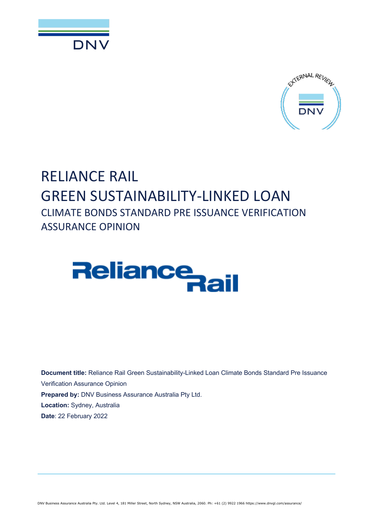



# RELIANCE RAIL GREEN SUSTAINABILITY-LINKED LOAN CLIMATE BONDS STANDARD PRE ISSUANCE VERIFICATION ASSURANCE OPINION



**Document title:** Reliance Rail Green Sustainability-Linked Loan Climate Bonds Standard Pre Issuance Verification Assurance Opinion **Prepared by:** DNV Business Assurance Australia Pty Ltd. **Location:** Sydney, Australia **Date**: 22 February 2022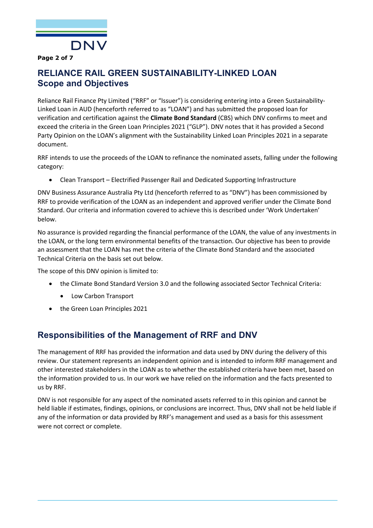

### **Page 2 of 7**

# **RELIANCE RAIL GREEN SUSTAINABILITY-LINKED LOAN Scope and Objectives**

Reliance Rail Finance Pty Limited ("RRF" or "Issuer") is considering entering into a Green Sustainability-Linked Loan in AUD (henceforth referred to as "LOAN") and has submitted the proposed loan for verification and certification against the **Climate Bond Standard** (CBS) which DNV confirms to meet and exceed the criteria in the Green Loan Principles 2021 ("GLP"). DNV notes that it has provided a Second Party Opinion on the LOAN's alignment with the Sustainability Linked Loan Principles 2021 in a separate document.

RRF intends to use the proceeds of the LOAN to refinance the nominated assets, falling under the following category:

• Clean Transport – Electrified Passenger Rail and Dedicated Supporting Infrastructure

DNV Business Assurance Australia Pty Ltd (henceforth referred to as "DNV") has been commissioned by RRF to provide verification of the LOAN as an independent and approved verifier under the Climate Bond Standard. Our criteria and information covered to achieve this is described under 'Work Undertaken' below.

No assurance is provided regarding the financial performance of the LOAN, the value of any investments in the LOAN, or the long term environmental benefits of the transaction. Our objective has been to provide an assessment that the LOAN has met the criteria of the Climate Bond Standard and the associated Technical Criteria on the basis set out below.

The scope of this DNV opinion is limited to:

- the Climate Bond Standard Version 3.0 and the following associated Sector Technical Criteria:
	- Low Carbon Transport
- the Green Loan Principles 2021

# **Responsibilities of the Management of RRF and DNV**

The management of RRF has provided the information and data used by DNV during the delivery of this review. Our statement represents an independent opinion and is intended to inform RRF management and other interested stakeholders in the LOAN as to whether the established criteria have been met, based on the information provided to us. In our work we have relied on the information and the facts presented to us by RRF.

DNV is not responsible for any aspect of the nominated assets referred to in this opinion and cannot be held liable if estimates, findings, opinions, or conclusions are incorrect. Thus, DNV shall not be held liable if any of the information or data provided by RRF's management and used as a basis for this assessment were not correct or complete.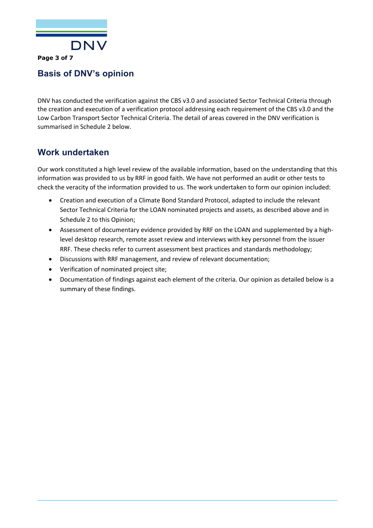

#### **Page 3 of 7**

# **Basis of DNV's opinion**

DNV has conducted the verification against the CBS v3.0 and associated Sector Technical Criteria through the creation and execution of a verification protocol addressing each requirement of the CBS v3.0 and the Low Carbon Transport Sector Technical Criteria. The detail of areas covered in the DNV verification is summarised in Schedule 2 below.

# **Work undertaken**

Our work constituted a high level review of the available information, based on the understanding that this information was provided to us by RRF in good faith. We have not performed an audit or other tests to check the veracity of the information provided to us. The work undertaken to form our opinion included:

- Creation and execution of a Climate Bond Standard Protocol, adapted to include the relevant Sector Technical Criteria for the LOAN nominated projects and assets, as described above and in Schedule 2 to this Opinion;
- Assessment of documentary evidence provided by RRF on the LOAN and supplemented by a highlevel desktop research, remote asset review and interviews with key personnel from the issuer RRF. These checks refer to current assessment best practices and standards methodology;
- Discussions with RRF management, and review of relevant documentation;
- Verification of nominated project site;
- Documentation of findings against each element of the criteria. Our opinion as detailed below is a summary of these findings.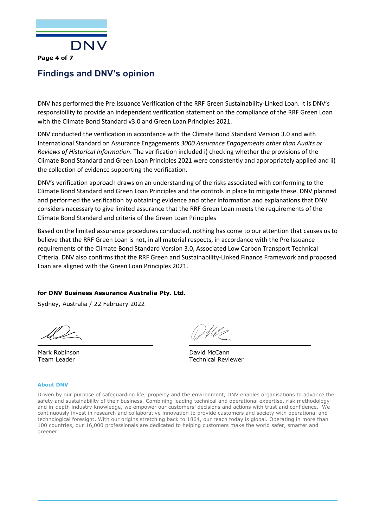

**Page 4 of 7**

# **Findings and DNV's opinion**

DNV has performed the Pre Issuance Verification of the RRF Green Sustainability-Linked Loan. It is DNV's responsibility to provide an independent verification statement on the compliance of the RRF Green Loan with the Climate Bond Standard v3.0 and Green Loan Principles 2021.

DNV conducted the verification in accordance with the Climate Bond Standard Version 3.0 and with International Standard on Assurance Engagements *3000 Assurance Engagements other than Audits or Reviews of Historical Information*. The verification included i) checking whether the provisions of the Climate Bond Standard and Green Loan Principles 2021 were consistently and appropriately applied and ii) the collection of evidence supporting the verification.

DNV's verification approach draws on an understanding of the risks associated with conforming to the Climate Bond Standard and Green Loan Principles and the controls in place to mitigate these. DNV planned and performed the verification by obtaining evidence and other information and explanations that DNV considers necessary to give limited assurance that the RRF Green Loan meets the requirements of the Climate Bond Standard and criteria of the Green Loan Principles

Based on the limited assurance procedures conducted, nothing has come to our attention that causes us to believe that the RRF Green Loan is not, in all material respects, in accordance with the Pre Issuance requirements of the Climate Bond Standard Version 3.0, Associated Low Carbon Transport Technical Criteria. DNV also confirms that the RRF Green and Sustainability-Linked Finance Framework and proposed Loan are aligned with the Green Loan Principles 2021.

### **for DNV Business Assurance Australia Pty. Ltd.**

Sydney, Australia / 22 February 2022

Mark Robinson Team Leader

David McCann Technical Reviewer

#### **About DNV**

Driven by our purpose of safeguarding life, property and the environment, DNV enables organisations to advance the safety and sustainability of their business. Combining leading technical and operational expertise, risk methodology and in-depth industry knowledge, we empower our customers' decisions and actions with trust and confidence. We continuously invest in research and collaborative innovation to provide customers and society with operational and technological foresight. With our origins stretching back to 1864, our reach today is global. Operating in more than 100 countries, our 16,000 professionals are dedicated to helping customers make the world safer, smarter and greener.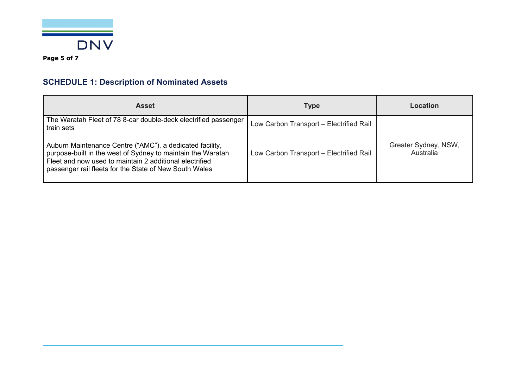

**Page 5 of 7**

# **SCHEDULE 1: Description of Nominated Assets**

| <b>Asset</b>                                                                                                                                                                                                                                 | <b>Type</b>                             | Location                          |
|----------------------------------------------------------------------------------------------------------------------------------------------------------------------------------------------------------------------------------------------|-----------------------------------------|-----------------------------------|
| The Waratah Fleet of 78 8-car double-deck electrified passenger<br>train sets                                                                                                                                                                | Low Carbon Transport - Electrified Rail |                                   |
| Auburn Maintenance Centre ("AMC"), a dedicated facility,<br>purpose-built in the west of Sydney to maintain the Waratah<br>Fleet and now used to maintain 2 additional electrified<br>passenger rail fleets for the State of New South Wales | Low Carbon Transport - Electrified Rail | Greater Sydney, NSW,<br>Australia |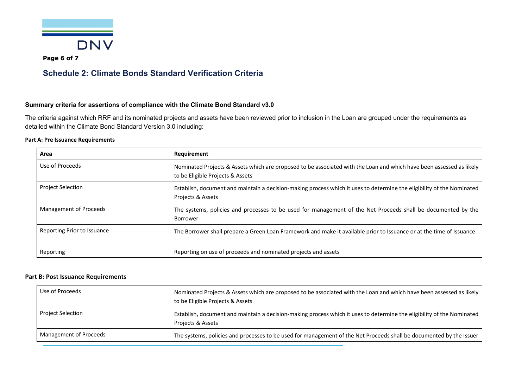

**Page 6 of 7**

### **Schedule 2: Climate Bonds Standard Verification Criteria**

### **Summary criteria for assertions of compliance with the Climate Bond Standard v3.0**

The criteria against which RRF and its nominated projects and assets have been reviewed prior to inclusion in the Loan are grouped under the requirements as detailed within the Climate Bond Standard Version 3.0 including:

#### **Part A: Pre Issuance Requirements**

| Area                        | <b>Requirement</b>                                                                                                                                       |
|-----------------------------|----------------------------------------------------------------------------------------------------------------------------------------------------------|
| Use of Proceeds             | Nominated Projects & Assets which are proposed to be associated with the Loan and which have been assessed as likely<br>to be Eligible Projects & Assets |
| <b>Project Selection</b>    | Establish, document and maintain a decision-making process which it uses to determine the eligibility of the Nominated<br>Projects & Assets              |
| Management of Proceeds      | The systems, policies and processes to be used for management of the Net Proceeds shall be documented by the<br>Borrower                                 |
| Reporting Prior to Issuance | The Borrower shall prepare a Green Loan Framework and make it available prior to Issuance or at the time of Issuance                                     |
| Reporting                   | Reporting on use of proceeds and nominated projects and assets                                                                                           |

#### **Part B: Post Issuance Requirements**

| Use of Proceeds        | Nominated Projects & Assets which are proposed to be associated with the Loan and which have been assessed as likely<br>to be Eligible Projects & Assets |
|------------------------|----------------------------------------------------------------------------------------------------------------------------------------------------------|
| Project Selection      | Establish, document and maintain a decision-making process which it uses to determine the eligibility of the Nominated  <br>Projects & Assets            |
| Management of Proceeds | The systems, policies and processes to be used for management of the Net Proceeds shall be documented by the Issuer                                      |